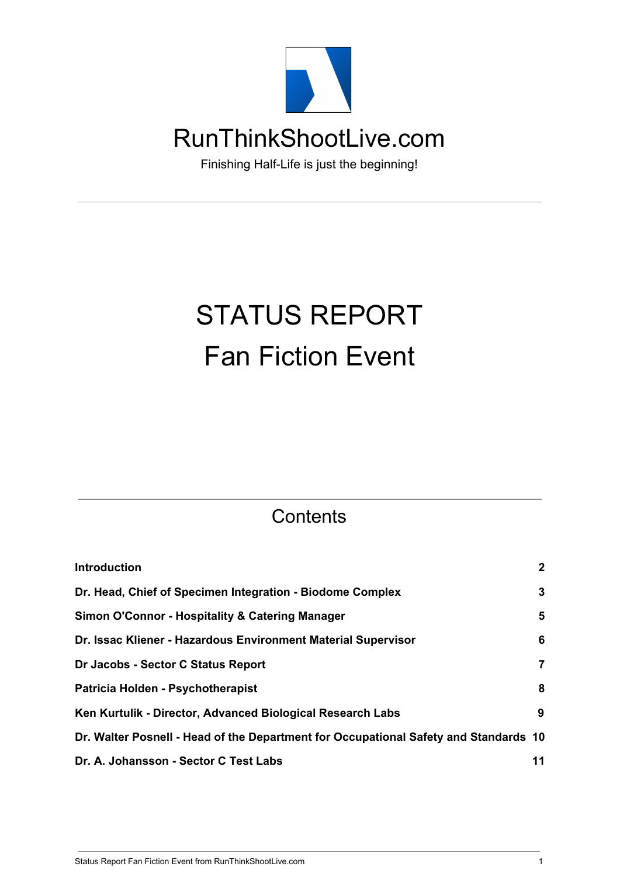

Finishing Half-Life is just the beginning!

# STATUS REPORT Fan Fiction Event

#### **Contents**

| <b>Introduction</b>                                                                  | $\mathbf{2}$   |
|--------------------------------------------------------------------------------------|----------------|
| Dr. Head, Chief of Specimen Integration - Biodome Complex                            | 3              |
| Simon O'Connor - Hospitality & Catering Manager                                      | 5              |
| Dr. Issac Kliener - Hazardous Environment Material Supervisor                        | 6              |
| Dr Jacobs - Sector C Status Report                                                   | $\overline{7}$ |
| Patricia Holden - Psychotherapist                                                    | 8              |
| Ken Kurtulik - Director, Advanced Biological Research Labs                           | 9              |
| Dr. Walter Posnell - Head of the Department for Occupational Safety and Standards 10 |                |
| Dr. A. Johansson - Sector C Test Labs                                                | 11             |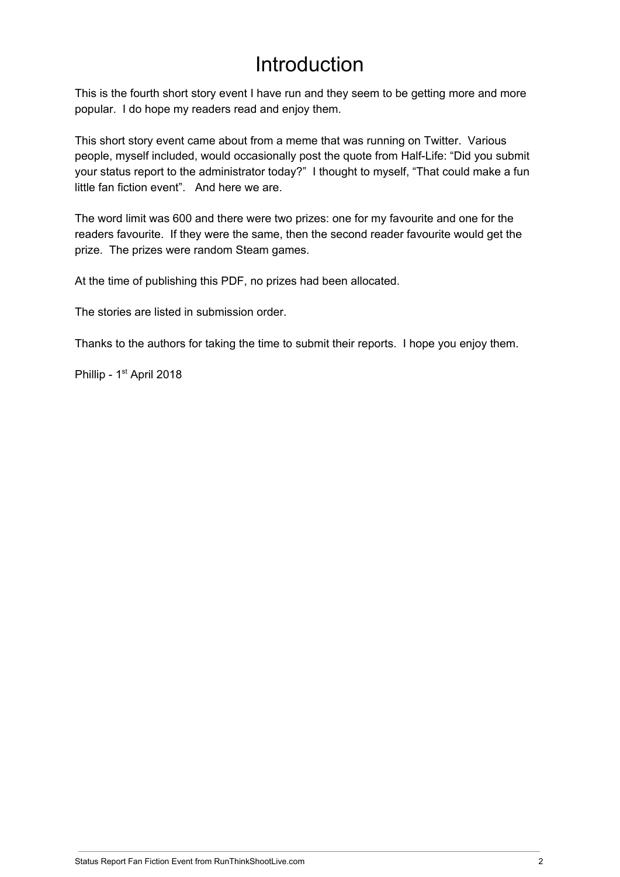### Introduction

<span id="page-1-0"></span>This is the fourth short story event I have run and they seem to be getting more and more popular. I do hope my readers read and enjoy them.

This short story event came about from a meme that was running on Twitter. Various people, myself included, would occasionally post the quote from Half-Life: "Did you submit your status report to the administrator today?" I thought to myself, "That could make a fun little fan fiction event". And here we are.

The word limit was 600 and there were two prizes: one for my favourite and one for the readers favourite. If they were the same, then the second reader favourite would get the prize. The prizes were random Steam games.

At the time of publishing this PDF, no prizes had been allocated.

The stories are listed in submission order.

Thanks to the authors for taking the time to submit their reports. I hope you enjoy them.

Phillip - 1<sup>st</sup> April 2018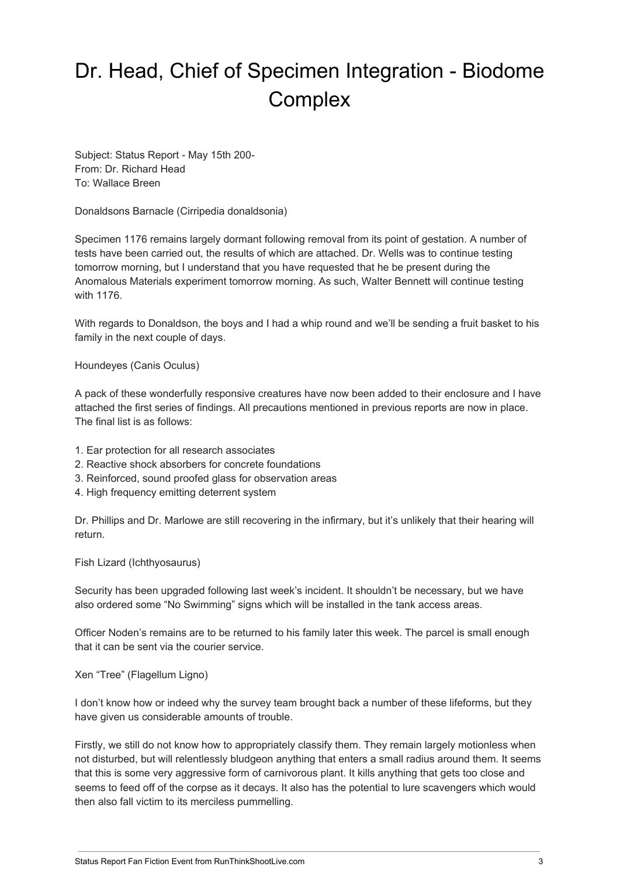# <span id="page-2-0"></span>Dr. Head, Chief of Specimen Integration - Biodome **Complex**

Subject: Status Report - May 15th 200- From: Dr. Richard Head To: Wallace Breen

Donaldsons Barnacle (Cirripedia donaldsonia)

Specimen 1176 remains largely dormant following removal from its point of gestation. A number of tests have been carried out, the results of which are attached. Dr. Wells was to continue testing tomorrow morning, but I understand that you have requested that he be present during the Anomalous Materials experiment tomorrow morning. As such, Walter Bennett will continue testing with 1176.

With regards to Donaldson, the boys and I had a whip round and we'll be sending a fruit basket to his family in the next couple of days.

Houndeyes (Canis Oculus)

A pack of these wonderfully responsive creatures have now been added to their enclosure and I have attached the first series of findings. All precautions mentioned in previous reports are now in place. The final list is as follows:

- 1. Ear protection for all research associates
- 2. Reactive shock absorbers for concrete foundations
- 3. Reinforced, sound proofed glass for observation areas
- 4. High frequency emitting deterrent system

Dr. Phillips and Dr. Marlowe are still recovering in the infirmary, but it's unlikely that their hearing will return.

Fish Lizard (Ichthyosaurus)

Security has been upgraded following last week's incident. It shouldn't be necessary, but we have also ordered some "No Swimming" signs which will be installed in the tank access areas.

Officer Noden's remains are to be returned to his family later this week. The parcel is small enough that it can be sent via the courier service.

Xen "Tree" (Flagellum Ligno)

I don't know how or indeed why the survey team brought back a number of these lifeforms, but they have given us considerable amounts of trouble.

Firstly, we still do not know how to appropriately classify them. They remain largely motionless when not disturbed, but will relentlessly bludgeon anything that enters a small radius around them. It seems that this is some very aggressive form of carnivorous plant. It kills anything that gets too close and seems to feed off of the corpse as it decays. It also has the potential to lure scavengers which would then also fall victim to its merciless pummelling.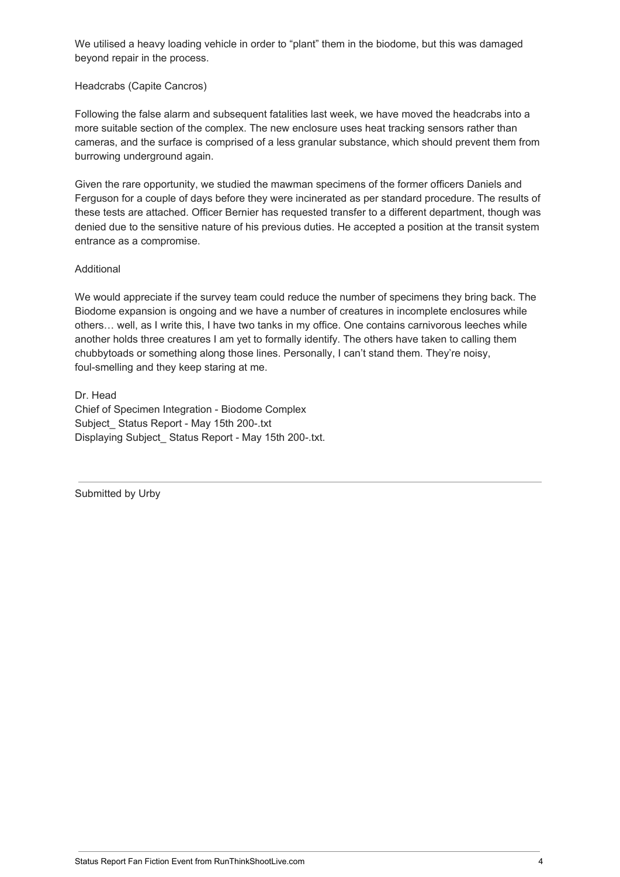We utilised a heavy loading vehicle in order to "plant" them in the biodome, but this was damaged beyond repair in the process.

#### Headcrabs (Capite Cancros)

Following the false alarm and subsequent fatalities last week, we have moved the headcrabs into a more suitable section of the complex. The new enclosure uses heat tracking sensors rather than cameras, and the surface is comprised of a less granular substance, which should prevent them from burrowing underground again.

Given the rare opportunity, we studied the mawman specimens of the former officers Daniels and Ferguson for a couple of days before they were incinerated as per standard procedure. The results of these tests are attached. Officer Bernier has requested transfer to a different department, though was denied due to the sensitive nature of his previous duties. He accepted a position at the transit system entrance as a compromise.

#### Additional

We would appreciate if the survey team could reduce the number of specimens they bring back. The Biodome expansion is ongoing and we have a number of creatures in incomplete enclosures while others… well, as I write this, I have two tanks in my office. One contains carnivorous leeches while another holds three creatures I am yet to formally identify. The others have taken to calling them chubbytoads or something along those lines. Personally, I can't stand them. They're noisy, foul-smelling and they keep staring at me.

Dr. Head

Chief of Specimen Integration - Biodome Complex Subject Status Report - May 15th 200-.txt Displaying Subject Status Report - May 15th 200-.txt.

Submitted by Urby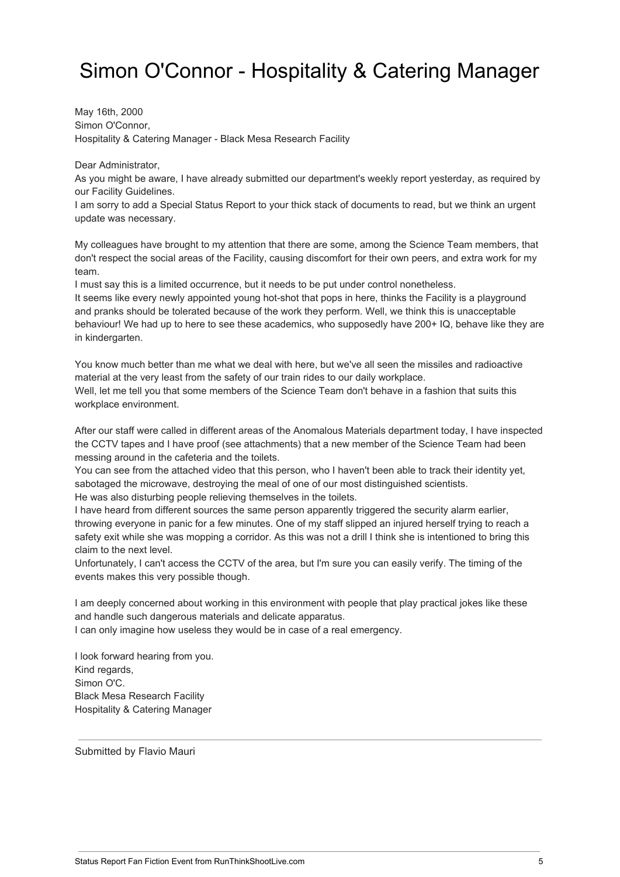### <span id="page-4-0"></span>Simon O'Connor - Hospitality & Catering Manager

May 16th, 2000 Simon O'Connor, Hospitality & Catering Manager - Black Mesa Research Facility

Dear Administrator,

As you might be aware, I have already submitted our department's weekly report yesterday, as required by our Facility Guidelines.

I am sorry to add a Special Status Report to your thick stack of documents to read, but we think an urgent update was necessary.

My colleagues have brought to my attention that there are some, among the Science Team members, that don't respect the social areas of the Facility, causing discomfort for their own peers, and extra work for my team.

I must say this is a limited occurrence, but it needs to be put under control nonetheless.

It seems like every newly appointed young hot-shot that pops in here, thinks the Facility is a playground and pranks should be tolerated because of the work they perform. Well, we think this is unacceptable behaviour! We had up to here to see these academics, who supposedly have 200+ IQ, behave like they are in kindergarten.

You know much better than me what we deal with here, but we've all seen the missiles and radioactive material at the very least from the safety of our train rides to our daily workplace.

Well, let me tell you that some members of the Science Team don't behave in a fashion that suits this workplace environment.

After our staff were called in different areas of the Anomalous Materials department today, I have inspected the CCTV tapes and I have proof (see attachments) that a new member of the Science Team had been messing around in the cafeteria and the toilets.

You can see from the attached video that this person, who I haven't been able to track their identity yet, sabotaged the microwave, destroying the meal of one of our most distinguished scientists.

He was also disturbing people relieving themselves in the toilets.

I have heard from different sources the same person apparently triggered the security alarm earlier, throwing everyone in panic for a few minutes. One of my staff slipped an injured herself trying to reach a safety exit while she was mopping a corridor. As this was not a drill I think she is intentioned to bring this claim to the next level.

Unfortunately, I can't access the CCTV of the area, but I'm sure you can easily verify. The timing of the events makes this very possible though.

I am deeply concerned about working in this environment with people that play practical jokes like these and handle such dangerous materials and delicate apparatus.

I can only imagine how useless they would be in case of a real emergency.

I look forward hearing from you. Kind regards, Simon O'C. Black Mesa Research Facility Hospitality & Catering Manager

Submitted by Flavio Mauri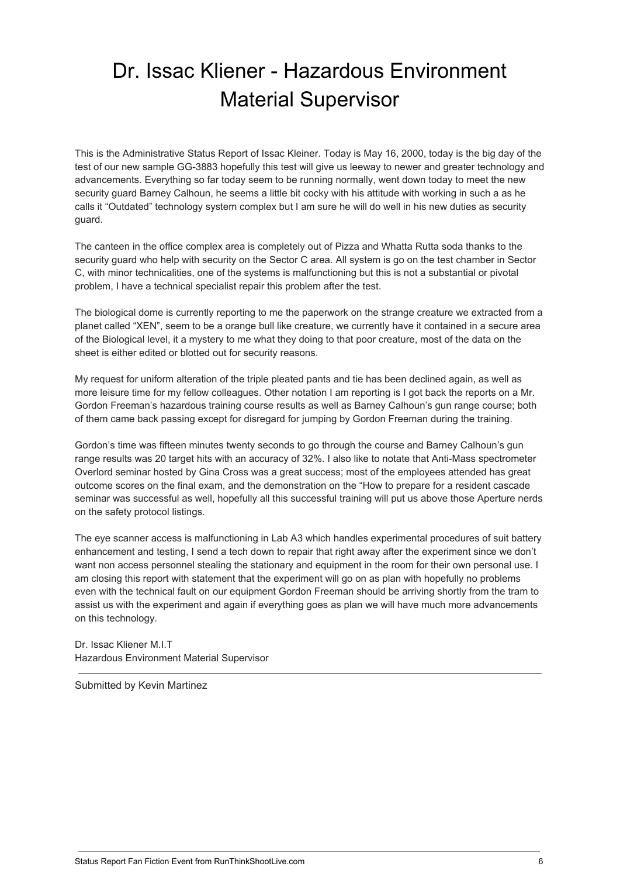## <span id="page-5-0"></span>Dr. Issac Kliener - Hazardous Environment Material Supervisor

This is the Administrative Status Report of Issac Kleiner. Today is May 16, 2000, today is the big day of the test of our new sample GG-3883 hopefully this test will give us leeway to newer and greater technology and advancements. Everything so far today seem to be running normally, went down today to meet the new security guard Barney Calhoun, he seems a little bit cocky with his attitude with working in such a as he calls it "Outdated" technology system complex but I am sure he will do well in his new duties as security guard.

The canteen in the office complex area is completely out of Pizza and Whatta Rutta soda thanks to the security guard who help with security on the Sector C area. All system is go on the test chamber in Sector C, with minor technicalities, one of the systems is malfunctioning but this is not a substantial or pivotal problem, I have a technical specialist repair this problem after the test.

The biological dome is currently reporting to me the paperwork on the strange creature we extracted from a planet called "XEN", seem to be a orange bull like creature, we currently have it contained in a secure area of the Biological level, it a mystery to me what they doing to that poor creature, most of the data on the sheet is either edited or blotted out for security reasons.

My request for uniform alteration of the triple pleated pants and tie has been declined again, as well as more leisure time for my fellow colleagues. Other notation I am reporting is I got back the reports on a Mr. Gordon Freeman's hazardous training course results as well as Barney Calhoun's gun range course; both of them came back passing except for disregard for jumping by Gordon Freeman during the training.

Gordon's time was fifteen minutes twenty seconds to go through the course and Barney Calhoun's gun range results was 20 target hits with an accuracy of 32%. I also like to notate that Anti-Mass spectrometer Overlord seminar hosted by Gina Cross was a great success; most of the employees attended has great outcome scores on the final exam, and the demonstration on the "How to prepare for a resident cascade seminar was successful as well, hopefully all this successful training will put us above those Aperture nerds on the safety protocol listings.

The eye scanner access is malfunctioning in Lab A3 which handles experimental procedures of suit battery enhancement and testing, I send a tech down to repair that right away after the experiment since we don't want non access personnel stealing the stationary and equipment in the room for their own personal use. I am closing this report with statement that the experiment will go on as plan with hopefully no problems even with the technical fault on our equipment Gordon Freeman should be arriving shortly from the tram to assist us with the experiment and again if everything goes as plan we will have much more advancements on this technology.

Dr. Issac Kliener M.I.T Hazardous Environment Material Supervisor

Submitted by Kevin Martinez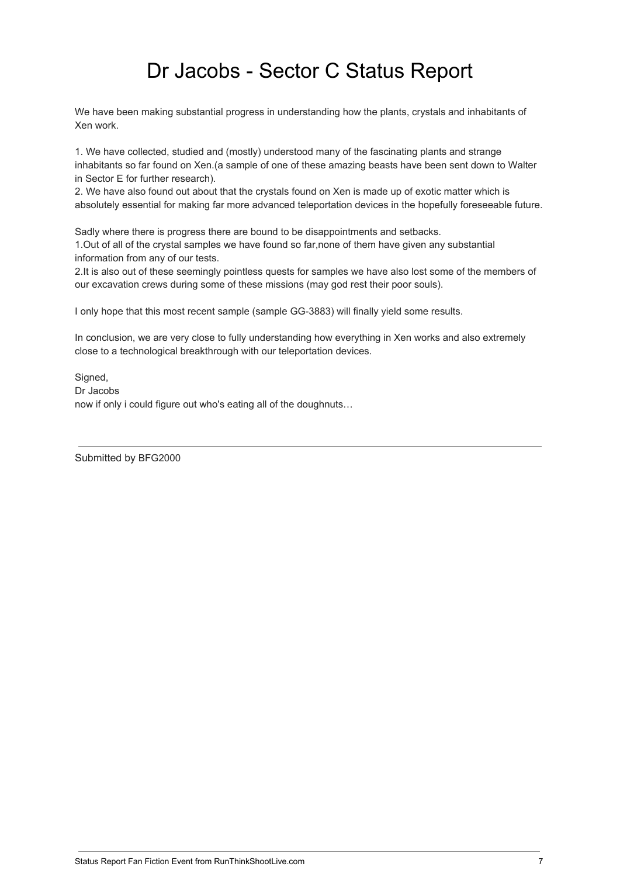### Dr Jacobs - Sector C Status Report

<span id="page-6-0"></span>We have been making substantial progress in understanding how the plants, crystals and inhabitants of Xen work.

1. We have collected, studied and (mostly) understood many of the fascinating plants and strange inhabitants so far found on Xen.(a sample of one of these amazing beasts have been sent down to Walter in Sector E for further research).

2. We have also found out about that the crystals found on Xen is made up of exotic matter which is absolutely essential for making far more advanced teleportation devices in the hopefully foreseeable future.

Sadly where there is progress there are bound to be disappointments and setbacks. 1.Out of all of the crystal samples we have found so far,none of them have given any substantial information from any of our tests.

2.It is also out of these seemingly pointless quests for samples we have also lost some of the members of our excavation crews during some of these missions (may god rest their poor souls).

I only hope that this most recent sample (sample GG-3883) will finally yield some results.

In conclusion, we are very close to fully understanding how everything in Xen works and also extremely close to a technological breakthrough with our teleportation devices.

Signed, Dr Jacobs now if only i could figure out who's eating all of the doughnuts…

Submitted by BFG2000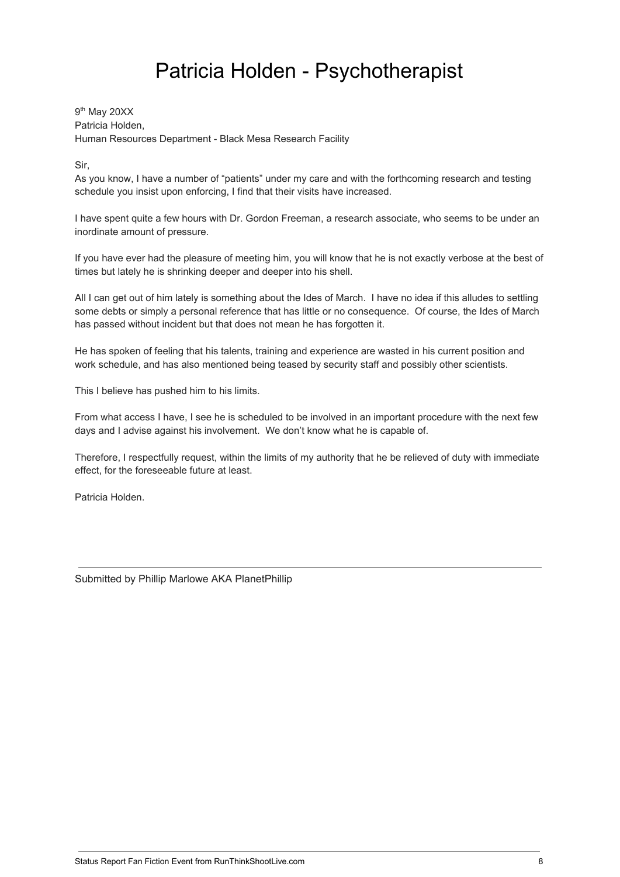### Patricia Holden - Psychotherapist

<span id="page-7-0"></span>9<sup>th</sup> May 20XX Patricia Holden, Human Resources Department - Black Mesa Research Facility

Sir,

As you know, I have a number of "patients" under my care and with the forthcoming research and testing schedule you insist upon enforcing, I find that their visits have increased.

I have spent quite a few hours with Dr. Gordon Freeman, a research associate, who seems to be under an inordinate amount of pressure.

If you have ever had the pleasure of meeting him, you will know that he is not exactly verbose at the best of times but lately he is shrinking deeper and deeper into his shell.

All I can get out of him lately is something about the Ides of March. I have no idea if this alludes to settling some debts or simply a personal reference that has little or no consequence. Of course, the Ides of March has passed without incident but that does not mean he has forgotten it.

He has spoken of feeling that his talents, training and experience are wasted in his current position and work schedule, and has also mentioned being teased by security staff and possibly other scientists.

This I believe has pushed him to his limits.

From what access I have, I see he is scheduled to be involved in an important procedure with the next few days and I advise against his involvement. We don't know what he is capable of.

Therefore, I respectfully request, within the limits of my authority that he be relieved of duty with immediate effect, for the foreseeable future at least.

Patricia Holden.

Submitted by Phillip Marlowe AKA PlanetPhillip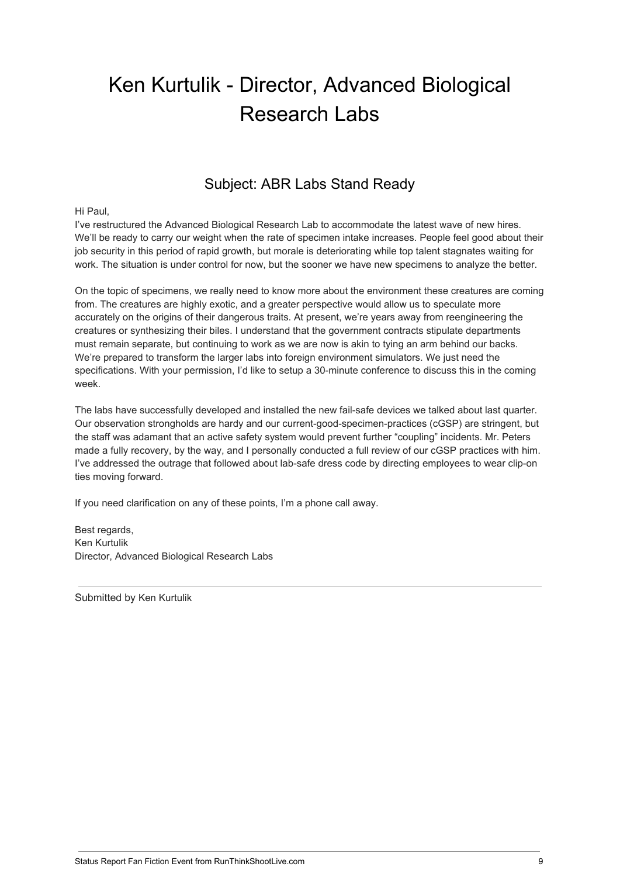### <span id="page-8-0"></span>Ken Kurtulik - Director, Advanced Biological Research Labs

#### Subject: ABR Labs Stand Ready

#### Hi Paul,

I've restructured the Advanced Biological Research Lab to accommodate the latest wave of new hires. We'll be ready to carry our weight when the rate of specimen intake increases. People feel good about their job security in this period of rapid growth, but morale is deteriorating while top talent stagnates waiting for work. The situation is under control for now, but the sooner we have new specimens to analyze the better.

On the topic of specimens, we really need to know more about the environment these creatures are coming from. The creatures are highly exotic, and a greater perspective would allow us to speculate more accurately on the origins of their dangerous traits. At present, we're years away from reengineering the creatures or synthesizing their biles. I understand that the government contracts stipulate departments must remain separate, but continuing to work as we are now is akin to tying an arm behind our backs. We're prepared to transform the larger labs into foreign environment simulators. We just need the specifications. With your permission, I'd like to setup a 30-minute conference to discuss this in the coming week.

The labs have successfully developed and installed the new fail-safe devices we talked about last quarter. Our observation strongholds are hardy and our current-good-specimen-practices (cGSP) are stringent, but the staff was adamant that an active safety system would prevent further "coupling" incidents. Mr. Peters made a fully recovery, by the way, and I personally conducted a full review of our cGSP practices with him. I've addressed the outrage that followed about lab-safe dress code by directing employees to wear clip-on ties moving forward.

If you need clarification on any of these points, I'm a phone call away.

Best regards, Ken Kurtulik Director, Advanced Biological Research Labs

Submitted by Ken Kurtulik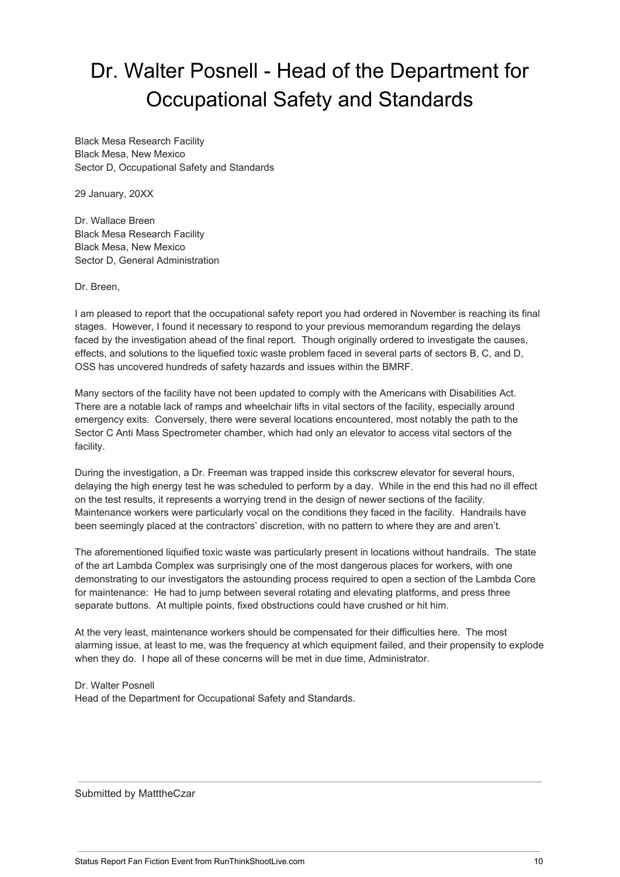## <span id="page-9-0"></span>Dr. Walter Posnell - Head of the Department for Occupational Safety and Standards

Black Mesa Research Facility Black Mesa, New Mexico Sector D, Occupational Safety and Standards

29 January, 20XX

Dr. Wallace Breen Black Mesa Research Facility Black Mesa, New Mexico Sector D, General Administration

Dr. Breen,

I am pleased to report that the occupational safety report you had ordered in November is reaching its final stages. However, I found it necessary to respond to your previous memorandum regarding the delays faced by the investigation ahead of the final report. Though originally ordered to investigate the causes, effects, and solutions to the liquefied toxic waste problem faced in several parts of sectors B, C, and D, OSS has uncovered hundreds of safety hazards and issues within the BMRF.

Many sectors of the facility have not been updated to comply with the Americans with Disabilities Act. There are a notable lack of ramps and wheelchair lifts in vital sectors of the facility, especially around emergency exits. Conversely, there were several locations encountered, most notably the path to the Sector C Anti Mass Spectrometer chamber, which had only an elevator to access vital sectors of the facility.

During the investigation, a Dr. Freeman was trapped inside this corkscrew elevator for several hours, delaying the high energy test he was scheduled to perform by a day. While in the end this had no ill effect on the test results, it represents a worrying trend in the design of newer sections of the facility. Maintenance workers were particularly vocal on the conditions they faced in the facility. Handrails have been seemingly placed at the contractors' discretion, with no pattern to where they are and aren't.

The aforementioned liquified toxic waste was particularly present in locations without handrails. The state of the art Lambda Complex was surprisingly one of the most dangerous places for workers, with one demonstrating to our investigators the astounding process required to open a section of the Lambda Core for maintenance: He had to jump between several rotating and elevating platforms, and press three separate buttons. At multiple points, fixed obstructions could have crushed or hit him.

At the very least, maintenance workers should be compensated for their difficulties here. The most alarming issue, at least to me, was the frequency at which equipment failed, and their propensity to explode when they do. I hope all of these concerns will be met in due time, Administrator.

Dr. Walter Posnell Head of the Department for Occupational Safety and Standards.

Submitted by MatttheCzar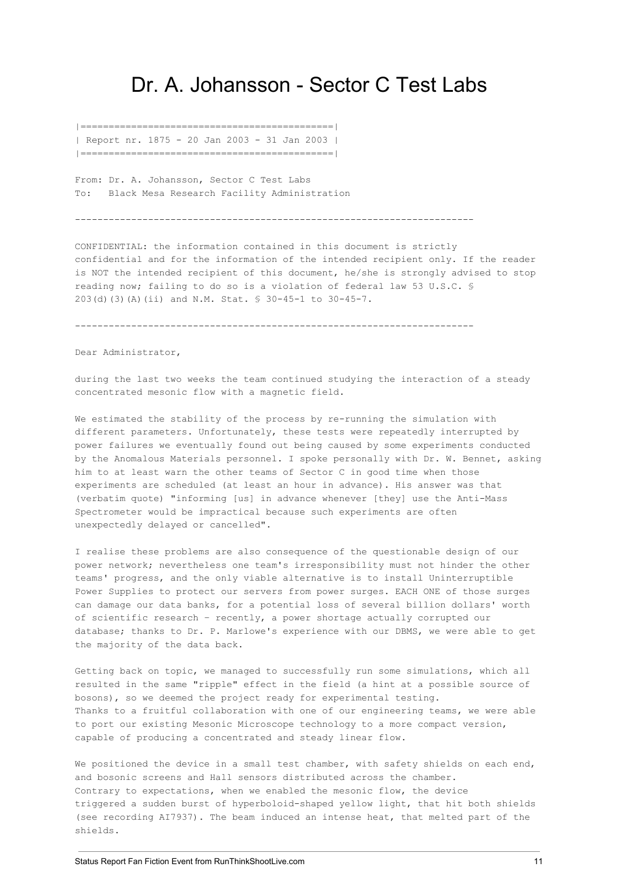#### <span id="page-10-0"></span>Dr. A. Johansson - Sector C Test Labs

|=============================================| | Report nr. 1875 - 20 Jan 2003 - 31 Jan 2003 | |=============================================|

From: Dr. A. Johansson, Sector C Test Labs To: Black Mesa Research Facility Administration

-----------------------------------------------------------------------

CONFIDENTIAL: the information contained in this document is strictly confidential and for the information of the intended recipient only. If the reader is NOT the intended recipient of this document, he/she is strongly advised to stop reading now; failing to do so is a violation of federal law 53 U.S.C. § 203(d)(3)(A)(ii) and N.M. Stat. § 30-45-1 to 30-45-7.

-----------------------------------------------------------------------

Dear Administrator,

during the last two weeks the team continued studying the interaction of a steady concentrated mesonic flow with a magnetic field.

We estimated the stability of the process by re-running the simulation with different parameters. Unfortunately, these tests were repeatedly interrupted by power failures we eventually found out being caused by some experiments conducted by the Anomalous Materials personnel. I spoke personally with Dr. W. Bennet, asking him to at least warn the other teams of Sector C in good time when those experiments are scheduled (at least an hour in advance). His answer was that (verbatim quote) "informing [us] in advance whenever [they] use the Anti-Mass Spectrometer would be impractical because such experiments are often unexpectedly delayed or cancelled".

I realise these problems are also consequence of the questionable design of our power network; nevertheless one team's irresponsibility must not hinder the other teams' progress, and the only viable alternative is to install Uninterruptible Power Supplies to protect our servers from power surges. EACH ONE of those surges can damage our data banks, for a potential loss of several billion dollars' worth of scientific research – recently, a power shortage actually corrupted our database; thanks to Dr. P. Marlowe's experience with our DBMS, we were able to get the majority of the data back.

Getting back on topic, we managed to successfully run some simulations, which all resulted in the same "ripple" effect in the field (a hint at a possible source of bosons), so we deemed the project ready for experimental testing. Thanks to a fruitful collaboration with one of our engineering teams, we were able to port our existing Mesonic Microscope technology to a more compact version, capable of producing a concentrated and steady linear flow.

We positioned the device in a small test chamber, with safety shields on each end, and bosonic screens and Hall sensors distributed across the chamber. Contrary to expectations, when we enabled the mesonic flow, the device triggered a sudden burst of hyperboloid-shaped yellow light, that hit both shields (see recording AI7937). The beam induced an intense heat, that melted part of the shields.